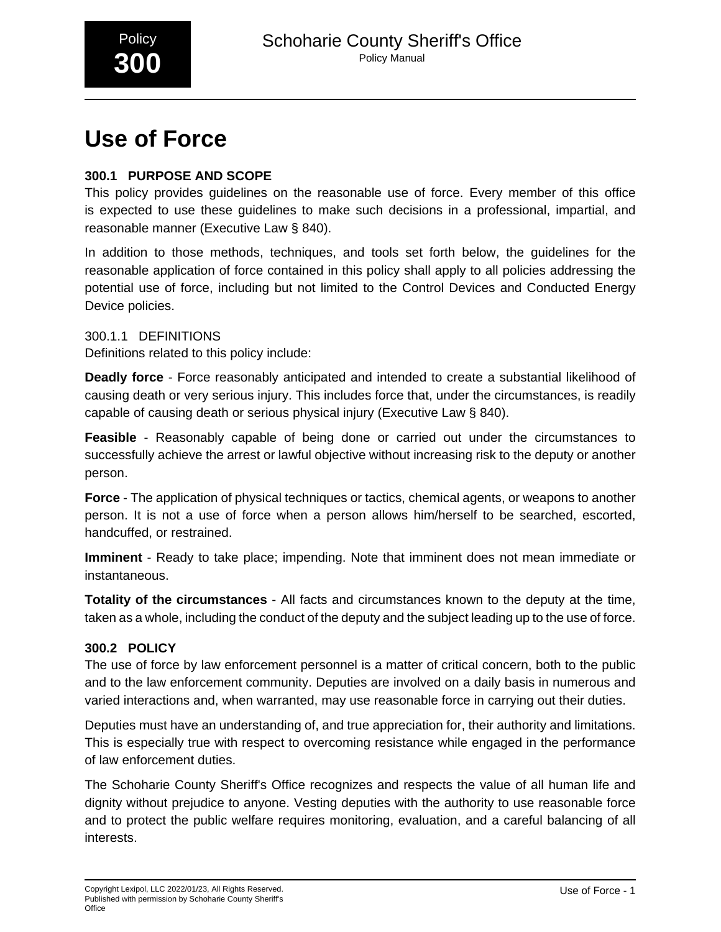

# **Use of Force**

# **300.1 PURPOSE AND SCOPE**

This policy provides guidelines on the reasonable use of force. Every member of this office is expected to use these guidelines to make such decisions in a professional, impartial, and reasonable manner (Executive Law § 840).

In addition to those methods, techniques, and tools set forth below, the guidelines for the reasonable application of force contained in this policy shall apply to all policies addressing the potential use of force, including but not limited to the Control Devices and Conducted Energy Device policies.

300.1.1 DEFINITIONS

Definitions related to this policy include:

**Deadly force** - Force reasonably anticipated and intended to create a substantial likelihood of causing death or very serious injury. This includes force that, under the circumstances, is readily capable of causing death or serious physical injury (Executive Law § 840).

**Feasible** - Reasonably capable of being done or carried out under the circumstances to successfully achieve the arrest or lawful objective without increasing risk to the deputy or another person.

**Force** - The application of physical techniques or tactics, chemical agents, or weapons to another person. It is not a use of force when a person allows him/herself to be searched, escorted, handcuffed, or restrained.

**Imminent** - Ready to take place; impending. Note that imminent does not mean immediate or instantaneous.

**Totality of the circumstances** - All facts and circumstances known to the deputy at the time, taken as a whole, including the conduct of the deputy and the subject leading up to the use of force.

# **300.2 POLICY**

The use of force by law enforcement personnel is a matter of critical concern, both to the public and to the law enforcement community. Deputies are involved on a daily basis in numerous and varied interactions and, when warranted, may use reasonable force in carrying out their duties.

Deputies must have an understanding of, and true appreciation for, their authority and limitations. This is especially true with respect to overcoming resistance while engaged in the performance of law enforcement duties.

The Schoharie County Sheriff's Office recognizes and respects the value of all human life and dignity without prejudice to anyone. Vesting deputies with the authority to use reasonable force and to protect the public welfare requires monitoring, evaluation, and a careful balancing of all interests.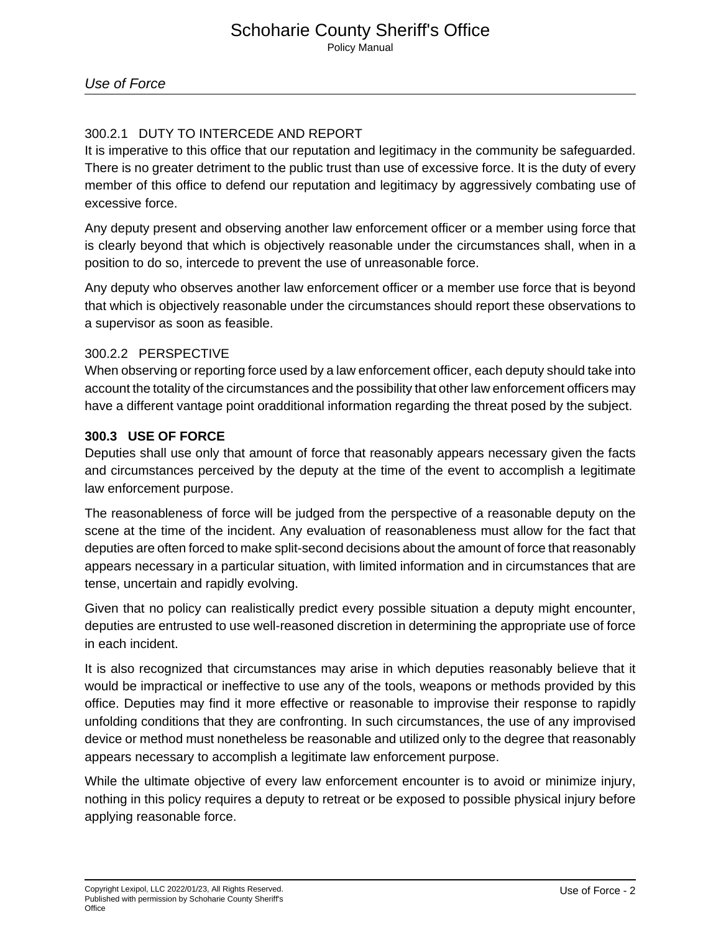# 300.2.1 DUTY TO INTERCEDE AND REPORT

It is imperative to this office that our reputation and legitimacy in the community be safeguarded. There is no greater detriment to the public trust than use of excessive force. It is the duty of every member of this office to defend our reputation and legitimacy by aggressively combating use of excessive force.

Any deputy present and observing another law enforcement officer or a member using force that is clearly beyond that which is objectively reasonable under the circumstances shall, when in a position to do so, intercede to prevent the use of unreasonable force.

Any deputy who observes another law enforcement officer or a member use force that is beyond that which is objectively reasonable under the circumstances should report these observations to a supervisor as soon as feasible.

# 300.2.2 PERSPECTIVE

When observing or reporting force used by a law enforcement officer, each deputy should take into account the totality of the circumstances and the possibility that other law enforcement officers may have a different vantage point oradditional information regarding the threat posed by the subject.

## **300.3 USE OF FORCE**

Deputies shall use only that amount of force that reasonably appears necessary given the facts and circumstances perceived by the deputy at the time of the event to accomplish a legitimate law enforcement purpose.

The reasonableness of force will be judged from the perspective of a reasonable deputy on the scene at the time of the incident. Any evaluation of reasonableness must allow for the fact that deputies are often forced to make split-second decisions about the amount of force that reasonably appears necessary in a particular situation, with limited information and in circumstances that are tense, uncertain and rapidly evolving.

Given that no policy can realistically predict every possible situation a deputy might encounter, deputies are entrusted to use well-reasoned discretion in determining the appropriate use of force in each incident.

It is also recognized that circumstances may arise in which deputies reasonably believe that it would be impractical or ineffective to use any of the tools, weapons or methods provided by this office. Deputies may find it more effective or reasonable to improvise their response to rapidly unfolding conditions that they are confronting. In such circumstances, the use of any improvised device or method must nonetheless be reasonable and utilized only to the degree that reasonably appears necessary to accomplish a legitimate law enforcement purpose.

While the ultimate objective of every law enforcement encounter is to avoid or minimize injury, nothing in this policy requires a deputy to retreat or be exposed to possible physical injury before applying reasonable force.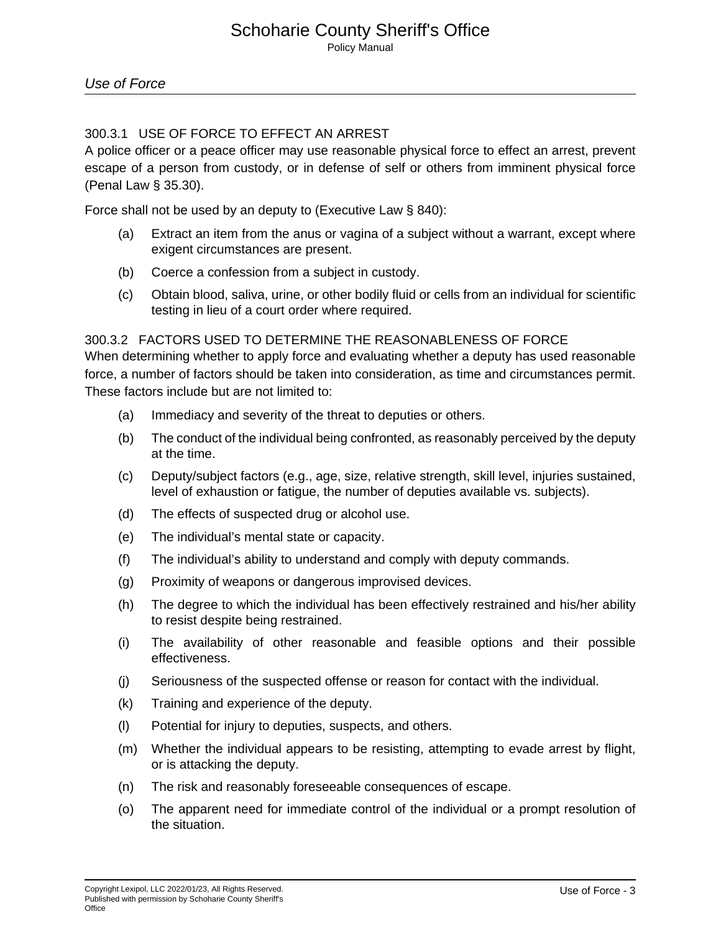#### 300.3.1 USE OF FORCE TO EFFECT AN ARREST

A police officer or a peace officer may use reasonable physical force to effect an arrest, prevent escape of a person from custody, or in defense of self or others from imminent physical force (Penal Law § 35.30).

Force shall not be used by an deputy to (Executive Law § 840):

- (a) Extract an item from the anus or vagina of a subject without a warrant, except where exigent circumstances are present.
- (b) Coerce a confession from a subject in custody.
- (c) Obtain blood, saliva, urine, or other bodily fluid or cells from an individual for scientific testing in lieu of a court order where required.

#### 300.3.2 FACTORS USED TO DETERMINE THE REASONABLENESS OF FORCE

When determining whether to apply force and evaluating whether a deputy has used reasonable force, a number of factors should be taken into consideration, as time and circumstances permit. These factors include but are not limited to:

- (a) Immediacy and severity of the threat to deputies or others.
- (b) The conduct of the individual being confronted, as reasonably perceived by the deputy at the time.
- (c) Deputy/subject factors (e.g., age, size, relative strength, skill level, injuries sustained, level of exhaustion or fatigue, the number of deputies available vs. subjects).
- (d) The effects of suspected drug or alcohol use.
- (e) The individual's mental state or capacity.
- (f) The individual's ability to understand and comply with deputy commands.
- (g) Proximity of weapons or dangerous improvised devices.
- (h) The degree to which the individual has been effectively restrained and his/her ability to resist despite being restrained.
- (i) The availability of other reasonable and feasible options and their possible effectiveness.
- (j) Seriousness of the suspected offense or reason for contact with the individual.
- (k) Training and experience of the deputy.
- (l) Potential for injury to deputies, suspects, and others.
- (m) Whether the individual appears to be resisting, attempting to evade arrest by flight, or is attacking the deputy.
- (n) The risk and reasonably foreseeable consequences of escape.
- (o) The apparent need for immediate control of the individual or a prompt resolution of the situation.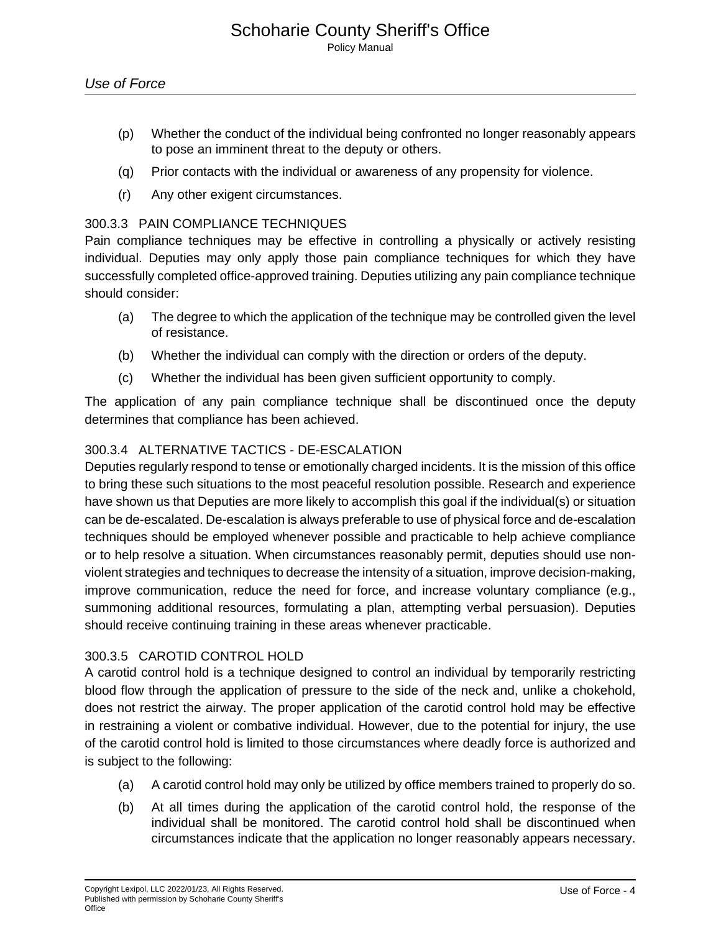- (p) Whether the conduct of the individual being confronted no longer reasonably appears to pose an imminent threat to the deputy or others.
- (q) Prior contacts with the individual or awareness of any propensity for violence.
- (r) Any other exigent circumstances.

# 300.3.3 PAIN COMPLIANCE TECHNIQUES

Pain compliance techniques may be effective in controlling a physically or actively resisting individual. Deputies may only apply those pain compliance techniques for which they have successfully completed office-approved training. Deputies utilizing any pain compliance technique should consider:

- (a) The degree to which the application of the technique may be controlled given the level of resistance.
- (b) Whether the individual can comply with the direction or orders of the deputy.
- (c) Whether the individual has been given sufficient opportunity to comply.

The application of any pain compliance technique shall be discontinued once the deputy determines that compliance has been achieved.

# 300.3.4 ALTERNATIVE TACTICS - DE-ESCALATION

Deputies regularly respond to tense or emotionally charged incidents. It is the mission of this office to bring these such situations to the most peaceful resolution possible. Research and experience have shown us that Deputies are more likely to accomplish this goal if the individual(s) or situation can be de-escalated. De-escalation is always preferable to use of physical force and de-escalation techniques should be employed whenever possible and practicable to help achieve compliance or to help resolve a situation. When circumstances reasonably permit, deputies should use nonviolent strategies and techniques to decrease the intensity of a situation, improve decision-making, improve communication, reduce the need for force, and increase voluntary compliance (e.g., summoning additional resources, formulating a plan, attempting verbal persuasion). Deputies should receive continuing training in these areas whenever practicable.

# 300.3.5 CAROTID CONTROL HOLD

A carotid control hold is a technique designed to control an individual by temporarily restricting blood flow through the application of pressure to the side of the neck and, unlike a chokehold, does not restrict the airway. The proper application of the carotid control hold may be effective in restraining a violent or combative individual. However, due to the potential for injury, the use of the carotid control hold is limited to those circumstances where deadly force is authorized and is subject to the following:

- (a) A carotid control hold may only be utilized by office members trained to properly do so.
- (b) At all times during the application of the carotid control hold, the response of the individual shall be monitored. The carotid control hold shall be discontinued when circumstances indicate that the application no longer reasonably appears necessary.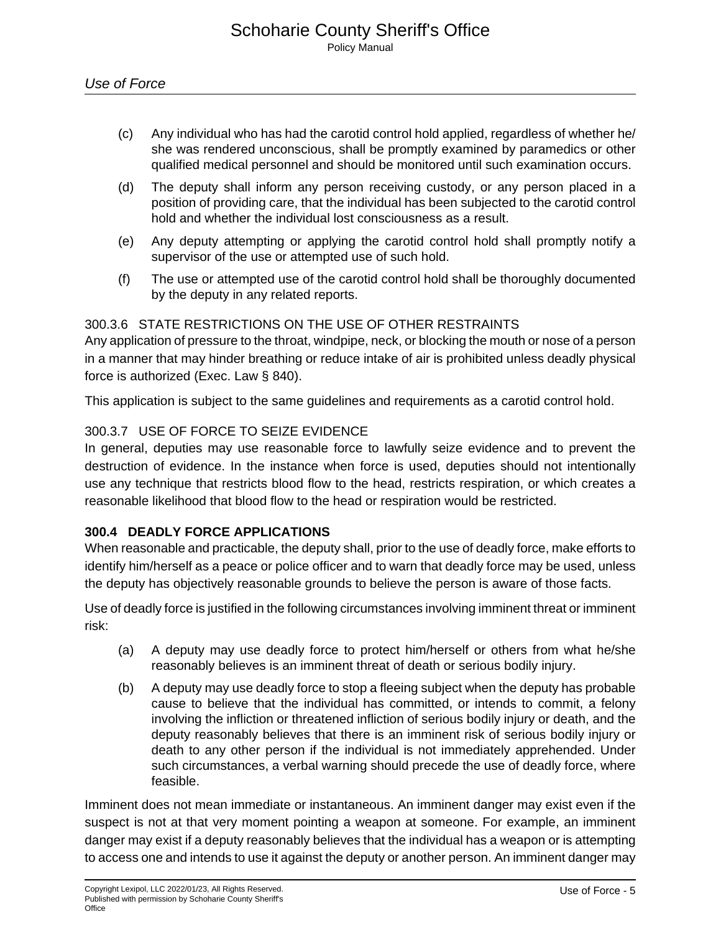- (c) Any individual who has had the carotid control hold applied, regardless of whether he/ she was rendered unconscious, shall be promptly examined by paramedics or other qualified medical personnel and should be monitored until such examination occurs.
- (d) The deputy shall inform any person receiving custody, or any person placed in a position of providing care, that the individual has been subjected to the carotid control hold and whether the individual lost consciousness as a result.
- (e) Any deputy attempting or applying the carotid control hold shall promptly notify a supervisor of the use or attempted use of such hold.
- (f) The use or attempted use of the carotid control hold shall be thoroughly documented by the deputy in any related reports.

## 300.3.6 STATE RESTRICTIONS ON THE USE OF OTHER RESTRAINTS

Any application of pressure to the throat, windpipe, neck, or blocking the mouth or nose of a person in a manner that may hinder breathing or reduce intake of air is prohibited unless deadly physical force is authorized (Exec. Law § 840).

This application is subject to the same guidelines and requirements as a carotid control hold.

## 300.3.7 USE OF FORCE TO SEIZE EVIDENCE

In general, deputies may use reasonable force to lawfully seize evidence and to prevent the destruction of evidence. In the instance when force is used, deputies should not intentionally use any technique that restricts blood flow to the head, restricts respiration, or which creates a reasonable likelihood that blood flow to the head or respiration would be restricted.

## **300.4 DEADLY FORCE APPLICATIONS**

When reasonable and practicable, the deputy shall, prior to the use of deadly force, make efforts to identify him/herself as a peace or police officer and to warn that deadly force may be used, unless the deputy has objectively reasonable grounds to believe the person is aware of those facts.

Use of deadly force is justified in the following circumstances involving imminent threat or imminent risk:

- (a) A deputy may use deadly force to protect him/herself or others from what he/she reasonably believes is an imminent threat of death or serious bodily injury.
- (b) A deputy may use deadly force to stop a fleeing subject when the deputy has probable cause to believe that the individual has committed, or intends to commit, a felony involving the infliction or threatened infliction of serious bodily injury or death, and the deputy reasonably believes that there is an imminent risk of serious bodily injury or death to any other person if the individual is not immediately apprehended. Under such circumstances, a verbal warning should precede the use of deadly force, where feasible.

Imminent does not mean immediate or instantaneous. An imminent danger may exist even if the suspect is not at that very moment pointing a weapon at someone. For example, an imminent danger may exist if a deputy reasonably believes that the individual has a weapon or is attempting to access one and intends to use it against the deputy or another person. An imminent danger may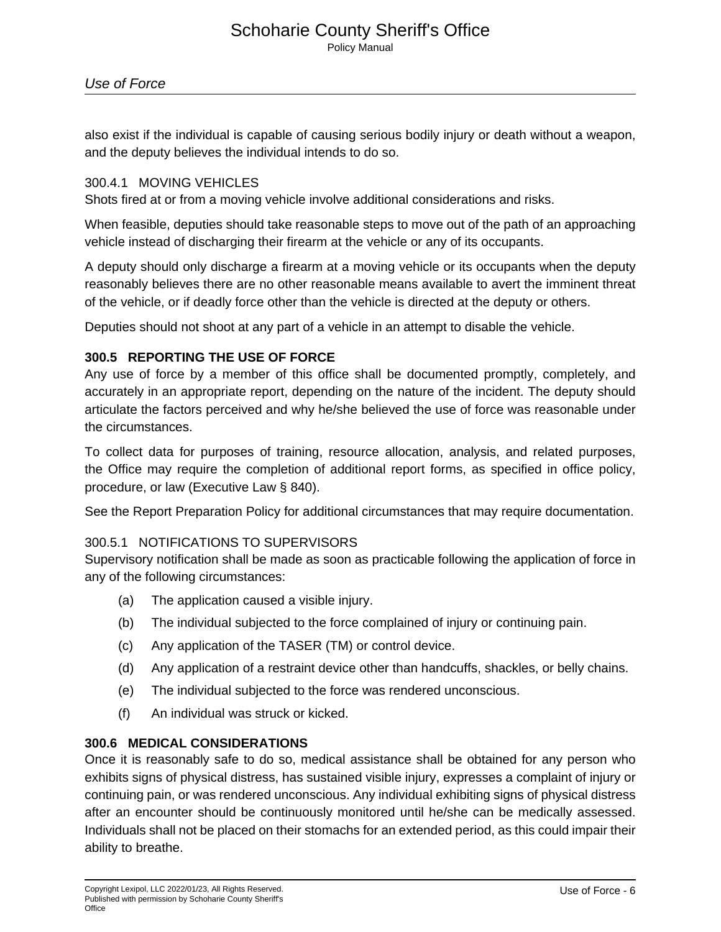also exist if the individual is capable of causing serious bodily injury or death without a weapon, and the deputy believes the individual intends to do so.

#### 300.4.1 MOVING VEHICLES

Shots fired at or from a moving vehicle involve additional considerations and risks.

When feasible, deputies should take reasonable steps to move out of the path of an approaching vehicle instead of discharging their firearm at the vehicle or any of its occupants.

A deputy should only discharge a firearm at a moving vehicle or its occupants when the deputy reasonably believes there are no other reasonable means available to avert the imminent threat of the vehicle, or if deadly force other than the vehicle is directed at the deputy or others.

Deputies should not shoot at any part of a vehicle in an attempt to disable the vehicle.

#### **300.5 REPORTING THE USE OF FORCE**

Any use of force by a member of this office shall be documented promptly, completely, and accurately in an appropriate report, depending on the nature of the incident. The deputy should articulate the factors perceived and why he/she believed the use of force was reasonable under the circumstances.

To collect data for purposes of training, resource allocation, analysis, and related purposes, the Office may require the completion of additional report forms, as specified in office policy, procedure, or law (Executive Law § 840).

See the Report Preparation Policy for additional circumstances that may require documentation.

#### 300.5.1 NOTIFICATIONS TO SUPERVISORS

Supervisory notification shall be made as soon as practicable following the application of force in any of the following circumstances:

- (a) The application caused a visible injury.
- (b) The individual subjected to the force complained of injury or continuing pain.
- (c) Any application of the TASER (TM) or control device.
- (d) Any application of a restraint device other than handcuffs, shackles, or belly chains.
- (e) The individual subjected to the force was rendered unconscious.
- (f) An individual was struck or kicked.

#### **300.6 MEDICAL CONSIDERATIONS**

Once it is reasonably safe to do so, medical assistance shall be obtained for any person who exhibits signs of physical distress, has sustained visible injury, expresses a complaint of injury or continuing pain, or was rendered unconscious. Any individual exhibiting signs of physical distress after an encounter should be continuously monitored until he/she can be medically assessed. Individuals shall not be placed on their stomachs for an extended period, as this could impair their ability to breathe.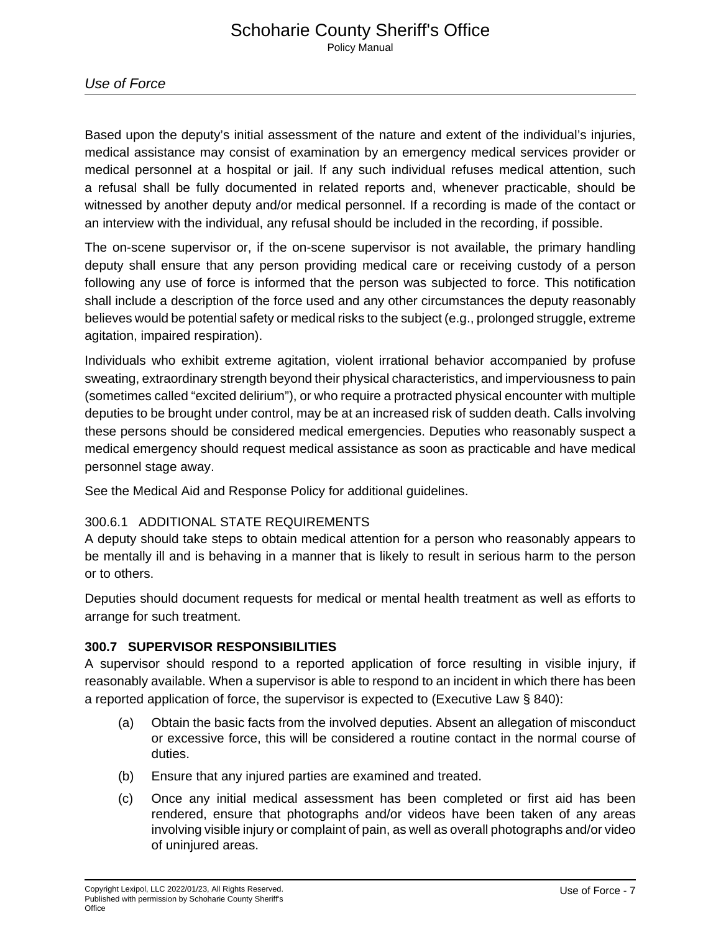Based upon the deputy's initial assessment of the nature and extent of the individual's injuries, medical assistance may consist of examination by an emergency medical services provider or medical personnel at a hospital or jail. If any such individual refuses medical attention, such a refusal shall be fully documented in related reports and, whenever practicable, should be witnessed by another deputy and/or medical personnel. If a recording is made of the contact or an interview with the individual, any refusal should be included in the recording, if possible.

The on-scene supervisor or, if the on-scene supervisor is not available, the primary handling deputy shall ensure that any person providing medical care or receiving custody of a person following any use of force is informed that the person was subjected to force. This notification shall include a description of the force used and any other circumstances the deputy reasonably believes would be potential safety or medical risks to the subject (e.g., prolonged struggle, extreme agitation, impaired respiration).

Individuals who exhibit extreme agitation, violent irrational behavior accompanied by profuse sweating, extraordinary strength beyond their physical characteristics, and imperviousness to pain (sometimes called "excited delirium"), or who require a protracted physical encounter with multiple deputies to be brought under control, may be at an increased risk of sudden death. Calls involving these persons should be considered medical emergencies. Deputies who reasonably suspect a medical emergency should request medical assistance as soon as practicable and have medical personnel stage away.

See the Medical Aid and Response Policy for additional guidelines.

# 300.6.1 ADDITIONAL STATE REQUIREMENTS

A deputy should take steps to obtain medical attention for a person who reasonably appears to be mentally ill and is behaving in a manner that is likely to result in serious harm to the person or to others.

Deputies should document requests for medical or mental health treatment as well as efforts to arrange for such treatment.

# **300.7 SUPERVISOR RESPONSIBILITIES**

A supervisor should respond to a reported application of force resulting in visible injury, if reasonably available. When a supervisor is able to respond to an incident in which there has been a reported application of force, the supervisor is expected to (Executive Law § 840):

- (a) Obtain the basic facts from the involved deputies. Absent an allegation of misconduct or excessive force, this will be considered a routine contact in the normal course of duties.
- (b) Ensure that any injured parties are examined and treated.
- (c) Once any initial medical assessment has been completed or first aid has been rendered, ensure that photographs and/or videos have been taken of any areas involving visible injury or complaint of pain, as well as overall photographs and/or video of uninjured areas.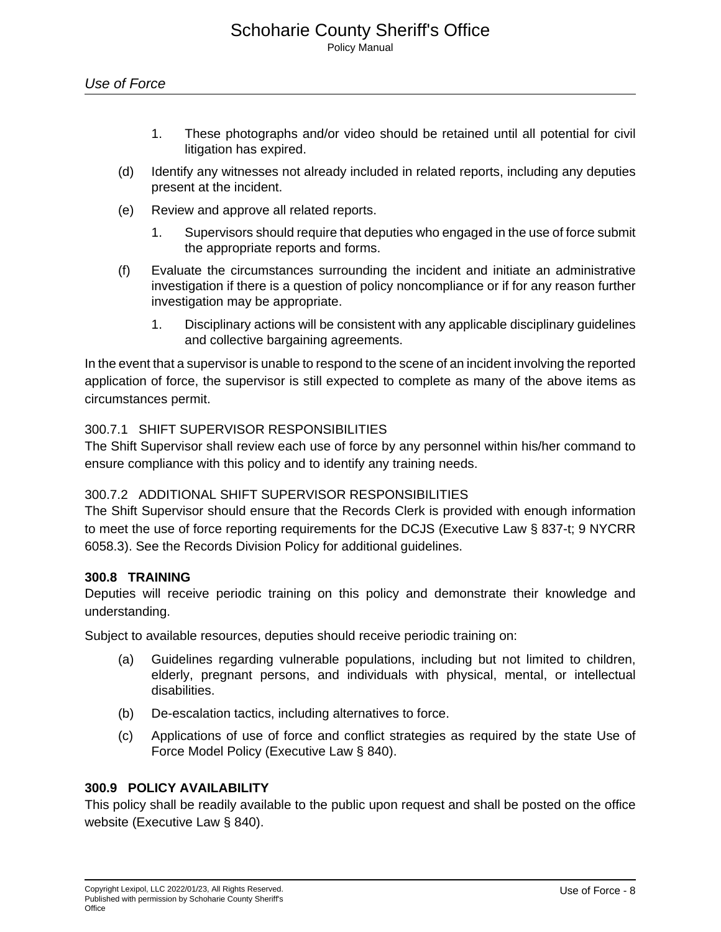- 1. These photographs and/or video should be retained until all potential for civil litigation has expired.
- (d) Identify any witnesses not already included in related reports, including any deputies present at the incident.
- (e) Review and approve all related reports.
	- 1. Supervisors should require that deputies who engaged in the use of force submit the appropriate reports and forms.
- (f) Evaluate the circumstances surrounding the incident and initiate an administrative investigation if there is a question of policy noncompliance or if for any reason further investigation may be appropriate.
	- 1. Disciplinary actions will be consistent with any applicable disciplinary guidelines and collective bargaining agreements.

In the event that a supervisor is unable to respond to the scene of an incident involving the reported application of force, the supervisor is still expected to complete as many of the above items as circumstances permit.

## 300.7.1 SHIFT SUPERVISOR RESPONSIBILITIES

The Shift Supervisor shall review each use of force by any personnel within his/her command to ensure compliance with this policy and to identify any training needs.

#### 300.7.2 ADDITIONAL SHIFT SUPERVISOR RESPONSIBILITIES

The Shift Supervisor should ensure that the Records Clerk is provided with enough information to meet the use of force reporting requirements for the DCJS (Executive Law § 837-t; 9 NYCRR 6058.3). See the Records Division Policy for additional guidelines.

#### **300.8 TRAINING**

Deputies will receive periodic training on this policy and demonstrate their knowledge and understanding.

Subject to available resources, deputies should receive periodic training on:

- (a) Guidelines regarding vulnerable populations, including but not limited to children, elderly, pregnant persons, and individuals with physical, mental, or intellectual disabilities.
- (b) De-escalation tactics, including alternatives to force.
- (c) Applications of use of force and conflict strategies as required by the state Use of Force Model Policy (Executive Law § 840).

#### **300.9 POLICY AVAILABILITY**

This policy shall be readily available to the public upon request and shall be posted on the office website (Executive Law § 840).